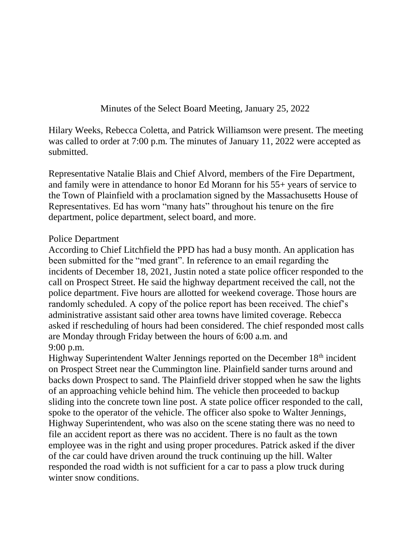Minutes of the Select Board Meeting, January 25, 2022

Hilary Weeks, Rebecca Coletta, and Patrick Williamson were present. The meeting was called to order at 7:00 p.m. The minutes of January 11, 2022 were accepted as submitted.

Representative Natalie Blais and Chief Alvord, members of the Fire Department, and family were in attendance to honor Ed Morann for his 55+ years of service to the Town of Plainfield with a proclamation signed by the Massachusetts House of Representatives. Ed has worn "many hats" throughout his tenure on the fire department, police department, select board, and more.

## Police Department

According to Chief Litchfield the PPD has had a busy month. An application has been submitted for the "med grant". In reference to an email regarding the incidents of December 18, 2021, Justin noted a state police officer responded to the call on Prospect Street. He said the highway department received the call, not the police department. Five hours are allotted for weekend coverage. Those hours are randomly scheduled. A copy of the police report has been received. The chief's administrative assistant said other area towns have limited coverage. Rebecca asked if rescheduling of hours had been considered. The chief responded most calls are Monday through Friday between the hours of 6:00 a.m. and 9:00 p.m.

Highway Superintendent Walter Jennings reported on the December 18<sup>th</sup> incident on Prospect Street near the Cummington line. Plainfield sander turns around and backs down Prospect to sand. The Plainfield driver stopped when he saw the lights of an approaching vehicle behind him. The vehicle then proceeded to backup sliding into the concrete town line post. A state police officer responded to the call, spoke to the operator of the vehicle. The officer also spoke to Walter Jennings, Highway Superintendent, who was also on the scene stating there was no need to file an accident report as there was no accident. There is no fault as the town employee was in the right and using proper procedures. Patrick asked if the diver of the car could have driven around the truck continuing up the hill. Walter responded the road width is not sufficient for a car to pass a plow truck during winter snow conditions.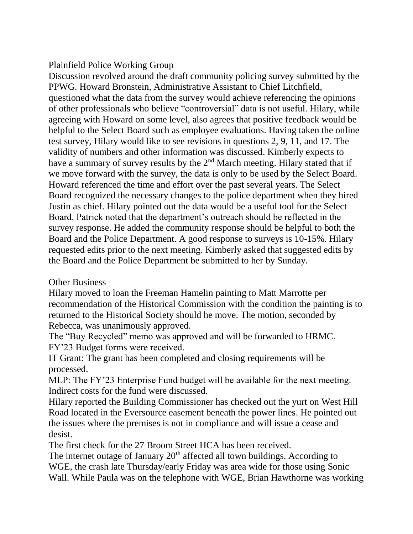## Plainfield Police Working Group

Discussion revolved around the draft community policing survey submitted by the PPWG. Howard Bronstein, Administrative Assistant to Chief Litchfield, questioned what the data from the survey would achieve referencing the opinions of other professionals who believe "controversial" data is not useful. Hilary, while agreeing with Howard on some level, also agrees that positive feedback would be helpful to the Select Board such as employee evaluations. Having taken the online test survey, Hilary would like to see revisions in questions 2, 9, 11, and 17. The validity of numbers and other information was discussed. Kimberly expects to have a summary of survey results by the 2<sup>nd</sup> March meeting. Hilary stated that if we move forward with the survey, the data is only to be used by the Select Board. Howard referenced the time and effort over the past several years. The Select Board recognized the necessary changes to the police department when they hired Justin as chief. Hilary pointed out the data would be a useful tool for the Select Board. Patrick noted that the department's outreach should be reflected in the survey response. He added the community response should be helpful to both the Board and the Police Department. A good response to surveys is 10-15%. Hilary requested edits prior to the next meeting. Kimberly asked that suggested edits by the Board and the Police Department be submitted to her by Sunday.

## Other Business

Hilary moved to loan the Freeman Hamelin painting to Matt Marrotte per recommendation of the Historical Commission with the condition the painting is to returned to the Historical Society should he move. The motion, seconded by Rebecca, was unanimously approved.

The "Buy Recycled" memo was approved and will be forwarded to HRMC. FY'23 Budget forms were received.

IT Grant: The grant has been completed and closing requirements will be processed.

MLP: The FY'23 Enterprise Fund budget will be available for the next meeting. Indirect costs for the fund were discussed.

Hilary reported the Building Commissioner has checked out the yurt on West Hill Road located in the Eversource easement beneath the power lines. He pointed out the issues where the premises is not in compliance and will issue a cease and desist.

The first check for the 27 Broom Street HCA has been received.

The internet outage of January  $20<sup>th</sup>$  affected all town buildings. According to WGE, the crash late Thursday/early Friday was area wide for those using Sonic Wall. While Paula was on the telephone with WGE, Brian Hawthorne was working